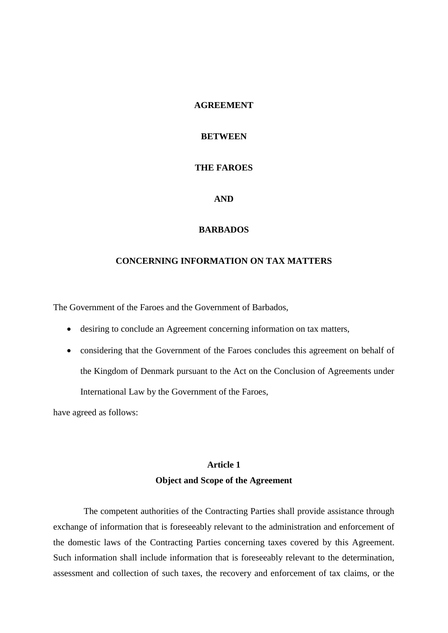### **AGREEMENT**

#### **BETWEEN**

#### **THE FAROES**

#### **AND**

#### **BARBADOS**

#### **CONCERNING INFORMATION ON TAX MATTERS**

The Government of the Faroes and the Government of Barbados,

- desiring to conclude an Agreement concerning information on tax matters,
- considering that the Government of the Faroes concludes this agreement on behalf of the Kingdom of Denmark pursuant to the Act on the Conclusion of Agreements under International Law by the Government of the Faroes,

have agreed as follows:

# **Article 1 Object and Scope of the Agreement**

The competent authorities of the Contracting Parties shall provide assistance through exchange of information that is foreseeably relevant to the administration and enforcement of the domestic laws of the Contracting Parties concerning taxes covered by this Agreement. Such information shall include information that is foreseeably relevant to the determination, assessment and collection of such taxes, the recovery and enforcement of tax claims, or the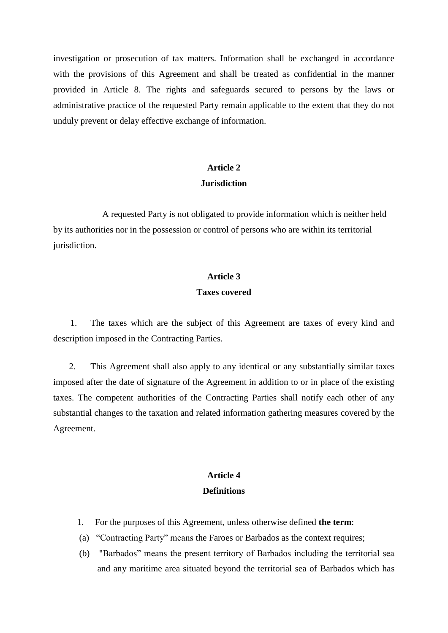investigation or prosecution of tax matters. Information shall be exchanged in accordance with the provisions of this Agreement and shall be treated as confidential in the manner provided in Article 8. The rights and safeguards secured to persons by the laws or administrative practice of the requested Party remain applicable to the extent that they do not unduly prevent or delay effective exchange of information.

# **Article 2 Jurisdiction**

A requested Party is not obligated to provide information which is neither held by its authorities nor in the possession or control of persons who are within its territorial jurisdiction.

# **Article 3**

### **Taxes covered**

1. The taxes which are the subject of this Agreement are taxes of every kind and description imposed in the Contracting Parties.

 2. This Agreement shall also apply to any identical or any substantially similar taxes imposed after the date of signature of the Agreement in addition to or in place of the existing taxes. The competent authorities of the Contracting Parties shall notify each other of any substantial changes to the taxation and related information gathering measures covered by the Agreement.

# **Article 4 Definitions**

- 1. For the purposes of this Agreement, unless otherwise defined **the term**:
- (a) "Contracting Party" means the Faroes or Barbados as the context requires;
- (b) "Barbados" means the present territory of Barbados including the territorial sea and any maritime area situated beyond the territorial sea of Barbados which has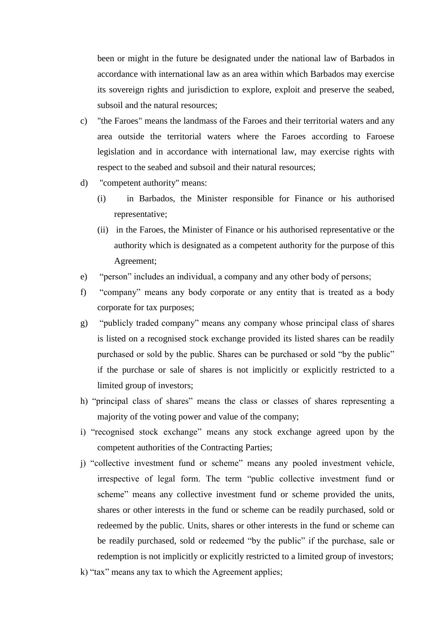been or might in the future be designated under the national law of Barbados in accordance with international law as an area within which Barbados may exercise its sovereign rights and jurisdiction to explore, exploit and preserve the seabed, subsoil and the natural resources;

- c) "the Faroes" means the landmass of the Faroes and their territorial waters and any area outside the territorial waters where the Faroes according to Faroese legislation and in accordance with international law, may exercise rights with respect to the seabed and subsoil and their natural resources;
- d) "competent authority" means:
	- (i) in Barbados, the Minister responsible for Finance or his authorised representative;
	- (ii) in the Faroes, the Minister of Finance or his authorised representative or the authority which is designated as a competent authority for the purpose of this Agreement;
- e) "person" includes an individual, a company and any other body of persons;
- f) "company" means any body corporate or any entity that is treated as a body corporate for tax purposes;
- g) "publicly traded company" means any company whose principal class of shares is listed on a recognised stock exchange provided its listed shares can be readily purchased or sold by the public. Shares can be purchased or sold "by the public" if the purchase or sale of shares is not implicitly or explicitly restricted to a limited group of investors;
- h) "principal class of shares" means the class or classes of shares representing a majority of the voting power and value of the company;
- i) "recognised stock exchange" means any stock exchange agreed upon by the competent authorities of the Contracting Parties;
- j) "collective investment fund or scheme" means any pooled investment vehicle, irrespective of legal form. The term "public collective investment fund or scheme" means any collective investment fund or scheme provided the units, shares or other interests in the fund or scheme can be readily purchased, sold or redeemed by the public. Units, shares or other interests in the fund or scheme can be readily purchased, sold or redeemed "by the public" if the purchase, sale or redemption is not implicitly or explicitly restricted to a limited group of investors;
- k) "tax" means any tax to which the Agreement applies;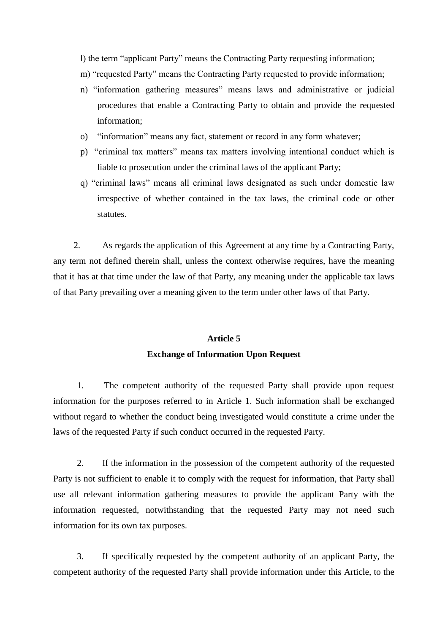l) the term "applicant Party" means the Contracting Party requesting information;

- m) "requested Party" means the Contracting Party requested to provide information;
- n) "information gathering measures" means laws and administrative or judicial procedures that enable a Contracting Party to obtain and provide the requested information;
- o) "information" means any fact, statement or record in any form whatever;
- p) "criminal tax matters" means tax matters involving intentional conduct which is liable to prosecution under the criminal laws of the applicant **P**arty;
- q) "criminal laws" means all criminal laws designated as such under domestic law irrespective of whether contained in the tax laws, the criminal code or other statutes.

2. As regards the application of this Agreement at any time by a Contracting Party, any term not defined therein shall, unless the context otherwise requires, have the meaning that it has at that time under the law of that Party, any meaning under the applicable tax laws of that Party prevailing over a meaning given to the term under other laws of that Party.

### **Article 5**

### **Exchange of Information Upon Request**

1. The competent authority of the requested Party shall provide upon request information for the purposes referred to in Article 1. Such information shall be exchanged without regard to whether the conduct being investigated would constitute a crime under the laws of the requested Party if such conduct occurred in the requested Party.

2. If the information in the possession of the competent authority of the requested Party is not sufficient to enable it to comply with the request for information, that Party shall use all relevant information gathering measures to provide the applicant Party with the information requested, notwithstanding that the requested Party may not need such information for its own tax purposes.

3. If specifically requested by the competent authority of an applicant Party, the competent authority of the requested Party shall provide information under this Article, to the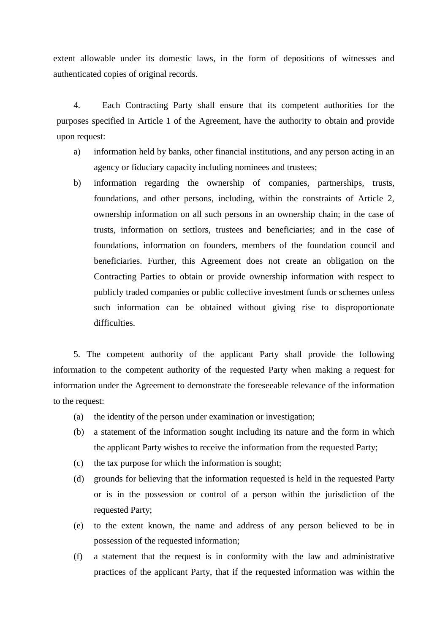extent allowable under its domestic laws, in the form of depositions of witnesses and authenticated copies of original records.

4. Each Contracting Party shall ensure that its competent authorities for the purposes specified in Article 1 of the Agreement, have the authority to obtain and provide upon request:

- a) information held by banks, other financial institutions, and any person acting in an agency or fiduciary capacity including nominees and trustees;
- b) information regarding the ownership of companies, partnerships, trusts, foundations, and other persons, including, within the constraints of Article 2, ownership information on all such persons in an ownership chain; in the case of trusts, information on settlors, trustees and beneficiaries; and in the case of foundations, information on founders, members of the foundation council and beneficiaries. Further, this Agreement does not create an obligation on the Contracting Parties to obtain or provide ownership information with respect to publicly traded companies or public collective investment funds or schemes unless such information can be obtained without giving rise to disproportionate difficulties.

5. The competent authority of the applicant Party shall provide the following information to the competent authority of the requested Party when making a request for information under the Agreement to demonstrate the foreseeable relevance of the information to the request:

- (a) the identity of the person under examination or investigation;
- (b) a statement of the information sought including its nature and the form in which the applicant Party wishes to receive the information from the requested Party;
- (c) the tax purpose for which the information is sought;
- (d) grounds for believing that the information requested is held in the requested Party or is in the possession or control of a person within the jurisdiction of the requested Party;
- (e) to the extent known, the name and address of any person believed to be in possession of the requested information;
- (f) a statement that the request is in conformity with the law and administrative practices of the applicant Party, that if the requested information was within the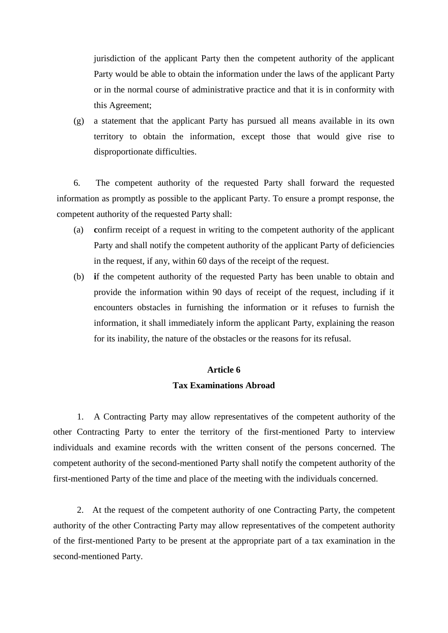jurisdiction of the applicant Party then the competent authority of the applicant Party would be able to obtain the information under the laws of the applicant Party or in the normal course of administrative practice and that it is in conformity with this Agreement;

(g) a statement that the applicant Party has pursued all means available in its own territory to obtain the information, except those that would give rise to disproportionate difficulties.

6. The competent authority of the requested Party shall forward the requested information as promptly as possible to the applicant Party. To ensure a prompt response, the competent authority of the requested Party shall:

- (a) **c**onfirm receipt of a request in writing to the competent authority of the applicant Party and shall notify the competent authority of the applicant Party of deficiencies in the request, if any, within 60 days of the receipt of the request.
- (b) **i**f the competent authority of the requested Party has been unable to obtain and provide the information within 90 days of receipt of the request, including if it encounters obstacles in furnishing the information or it refuses to furnish the information, it shall immediately inform the applicant Party, explaining the reason for its inability, the nature of the obstacles or the reasons for its refusal.

# **Article 6 Tax Examinations Abroad**

1. A Contracting Party may allow representatives of the competent authority of the other Contracting Party to enter the territory of the first-mentioned Party to interview individuals and examine records with the written consent of the persons concerned. The competent authority of the second-mentioned Party shall notify the competent authority of the first-mentioned Party of the time and place of the meeting with the individuals concerned.

2. At the request of the competent authority of one Contracting Party, the competent authority of the other Contracting Party may allow representatives of the competent authority of the first-mentioned Party to be present at the appropriate part of a tax examination in the second-mentioned Party.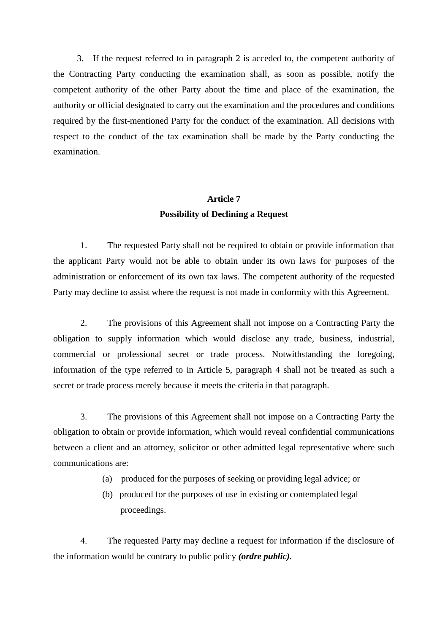3. If the request referred to in paragraph 2 is acceded to, the competent authority of the Contracting Party conducting the examination shall, as soon as possible, notify the competent authority of the other Party about the time and place of the examination, the authority or official designated to carry out the examination and the procedures and conditions required by the first-mentioned Party for the conduct of the examination. All decisions with respect to the conduct of the tax examination shall be made by the Party conducting the examination.

# **Article 7 Possibility of Declining a Request**

1. The requested Party shall not be required to obtain or provide information that the applicant Party would not be able to obtain under its own laws for purposes of the administration or enforcement of its own tax laws. The competent authority of the requested Party may decline to assist where the request is not made in conformity with this Agreement.

2. The provisions of this Agreement shall not impose on a Contracting Party the obligation to supply information which would disclose any trade, business, industrial, commercial or professional secret or trade process. Notwithstanding the foregoing, information of the type referred to in Article 5, paragraph 4 shall not be treated as such a secret or trade process merely because it meets the criteria in that paragraph.

3. The provisions of this Agreement shall not impose on a Contracting Party the obligation to obtain or provide information, which would reveal confidential communications between a client and an attorney, solicitor or other admitted legal representative where such communications are:

- (a) produced for the purposes of seeking or providing legal advice; or
- (b) produced for the purposes of use in existing or contemplated legal proceedings.

4. The requested Party may decline a request for information if the disclosure of the information would be contrary to public policy *(ordre public).*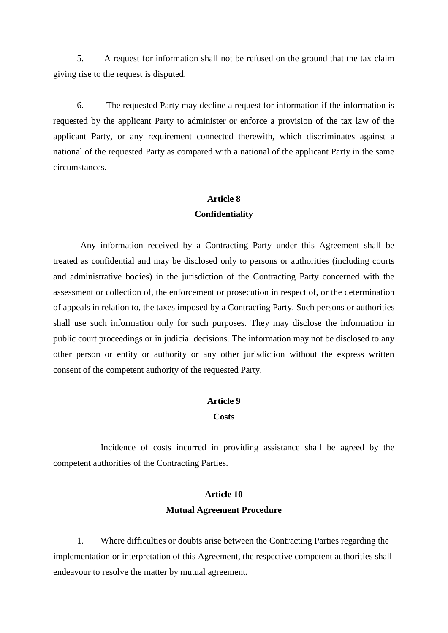5. A request for information shall not be refused on the ground that the tax claim giving rise to the request is disputed.

6. The requested Party may decline a request for information if the information is requested by the applicant Party to administer or enforce a provision of the tax law of the applicant Party, or any requirement connected therewith, which discriminates against a national of the requested Party as compared with a national of the applicant Party in the same circumstances.

### **Article 8**

### **Confidentiality**

 Any information received by a Contracting Party under this Agreement shall be treated as confidential and may be disclosed only to persons or authorities (including courts and administrative bodies) in the jurisdiction of the Contracting Party concerned with the assessment or collection of, the enforcement or prosecution in respect of, or the determination of appeals in relation to, the taxes imposed by a Contracting Party. Such persons or authorities shall use such information only for such purposes. They may disclose the information in public court proceedings or in judicial decisions. The information may not be disclosed to any other person or entity or authority or any other jurisdiction without the express written consent of the competent authority of the requested Party.

### **Article 9**

### **Costs**

Incidence of costs incurred in providing assistance shall be agreed by the competent authorities of the Contracting Parties.

### **Article 10 Mutual Agreement Procedure**

1. Where difficulties or doubts arise between the Contracting Parties regarding the implementation or interpretation of this Agreement, the respective competent authorities shall endeavour to resolve the matter by mutual agreement.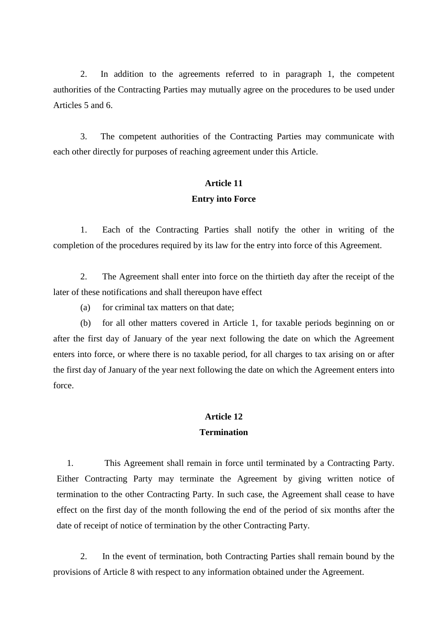2. In addition to the agreements referred to in paragraph 1, the competent authorities of the Contracting Parties may mutually agree on the procedures to be used under Articles 5 and 6.

3. The competent authorities of the Contracting Parties may communicate with each other directly for purposes of reaching agreement under this Article.

# **Article 11 Entry into Force**

1. Each of the Contracting Parties shall notify the other in writing of the completion of the procedures required by its law for the entry into force of this Agreement.

2. The Agreement shall enter into force on the thirtieth day after the receipt of the later of these notifications and shall thereupon have effect

(a) for criminal tax matters on that date;

(b) for all other matters covered in Article 1, for taxable periods beginning on or after the first day of January of the year next following the date on which the Agreement enters into force, or where there is no taxable period, for all charges to tax arising on or after the first day of January of the year next following the date on which the Agreement enters into force.

# **Article 12**

### **Termination**

1. This Agreement shall remain in force until terminated by a Contracting Party. Either Contracting Party may terminate the Agreement by giving written notice of termination to the other Contracting Party. In such case, the Agreement shall cease to have effect on the first day of the month following the end of the period of six months after the date of receipt of notice of termination by the other Contracting Party.

2. In the event of termination, both Contracting Parties shall remain bound by the provisions of Article 8 with respect to any information obtained under the Agreement.